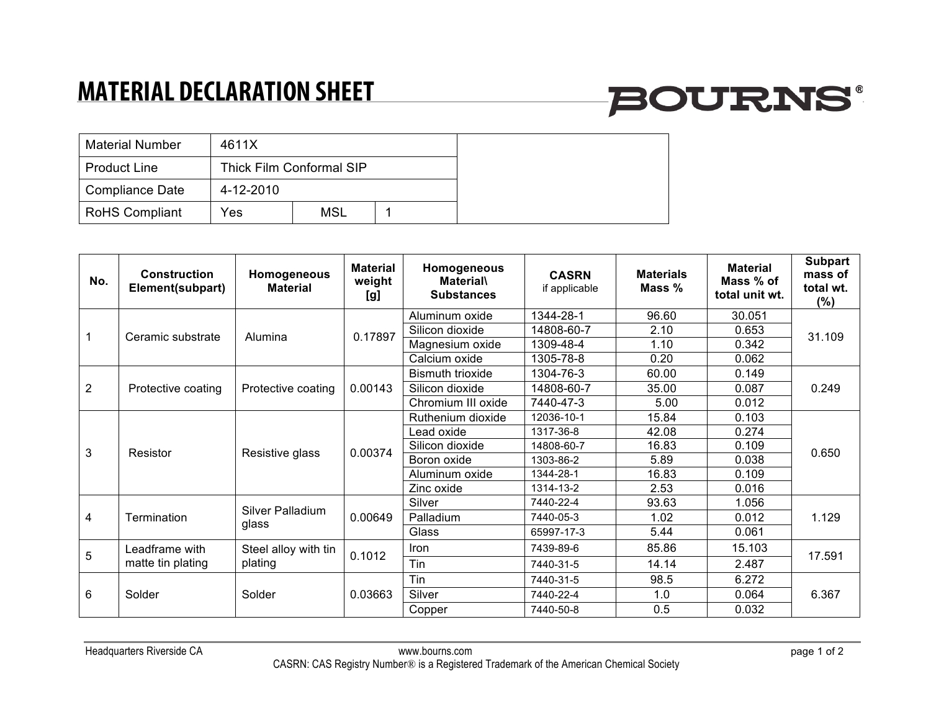## **MATERIAL DECLARATION SHEET**

# **BOURNS®**

| <b>Material Number</b> | 4611X                    |            |  |  |
|------------------------|--------------------------|------------|--|--|
| <b>Product Line</b>    | Thick Film Conformal SIP |            |  |  |
| Compliance Date        | 4-12-2010                |            |  |  |
| <b>RoHS Compliant</b>  | Yes                      | <b>MSL</b> |  |  |

| No.            | Construction<br>Element(subpart)    | Homogeneous<br><b>Material</b>  | <b>Material</b><br>weight<br>[g] | Homogeneous<br><b>Material</b><br><b>Substances</b> | <b>CASRN</b><br>if applicable | <b>Materials</b><br>Mass % | <b>Material</b><br>Mass % of<br>total unit wt. | <b>Subpart</b><br>mass of<br>total wt.<br>$(\%)$ |
|----------------|-------------------------------------|---------------------------------|----------------------------------|-----------------------------------------------------|-------------------------------|----------------------------|------------------------------------------------|--------------------------------------------------|
|                | Ceramic substrate                   | Alumina                         | 0.17897                          | Aluminum oxide                                      | 1344-28-1                     | 96.60                      | 30.051                                         | 31.109                                           |
|                |                                     |                                 |                                  | Silicon dioxide                                     | 14808-60-7                    | 2.10                       | 0.653                                          |                                                  |
|                |                                     |                                 |                                  | Magnesium oxide                                     | 1309-48-4                     | 1.10                       | 0.342                                          |                                                  |
|                |                                     |                                 |                                  | Calcium oxide                                       | 1305-78-8                     | 0.20                       | 0.062                                          |                                                  |
| $\overline{2}$ | Protective coating                  | Protective coating              | 0.00143                          | <b>Bismuth trioxide</b>                             | 1304-76-3                     | 60.00                      | 0.149                                          | 0.249                                            |
|                |                                     |                                 |                                  | Silicon dioxide                                     | 14808-60-7                    | 35.00                      | 0.087                                          |                                                  |
|                |                                     |                                 |                                  | Chromium III oxide                                  | 7440-47-3                     | 5.00                       | 0.012                                          |                                                  |
| 3              | Resistor                            | Resistive glass                 | 0.00374                          | Ruthenium dioxide                                   | 12036-10-1                    | 15.84                      | 0.103                                          | 0.650                                            |
|                |                                     |                                 |                                  | _ead oxide                                          | 1317-36-8                     | 42.08                      | 0.274                                          |                                                  |
|                |                                     |                                 |                                  | Silicon dioxide                                     | 14808-60-7                    | 16.83                      | 0.109                                          |                                                  |
|                |                                     |                                 |                                  | Boron oxide                                         | 1303-86-2                     | 5.89                       | 0.038                                          |                                                  |
|                |                                     |                                 |                                  | Aluminum oxide                                      | 1344-28-1                     | 16.83                      | 0.109                                          |                                                  |
|                |                                     |                                 |                                  | Zinc oxide                                          | 1314-13-2                     | 2.53                       | 0.016                                          |                                                  |
| 4              | Termination                         | Silver Palladium<br>glass       | 0.00649                          | Silver                                              | 7440-22-4                     | 93.63                      | 1.056                                          | 1.129                                            |
|                |                                     |                                 |                                  | Palladium                                           | 7440-05-3                     | 1.02                       | 0.012                                          |                                                  |
|                |                                     |                                 |                                  | Glass                                               | 65997-17-3                    | 5.44                       | 0.061                                          |                                                  |
| 5              | Leadframe with<br>matte tin plating | Steel alloy with tin<br>plating | 0.1012                           | <b>Iron</b>                                         | 7439-89-6                     | 85.86                      | 15.103                                         | 17.591                                           |
|                |                                     |                                 |                                  | Tin                                                 | 7440-31-5                     | 14.14                      | 2.487                                          |                                                  |
| 6              | Solder                              | Solder                          | 0.03663                          | Tin                                                 | 7440-31-5                     | 98.5                       | 6.272                                          | 6.367                                            |
|                |                                     |                                 |                                  | Silver                                              | 7440-22-4                     | 1.0                        | 0.064                                          |                                                  |
|                |                                     |                                 |                                  | Copper                                              | 7440-50-8                     | 0.5                        | 0.032                                          |                                                  |